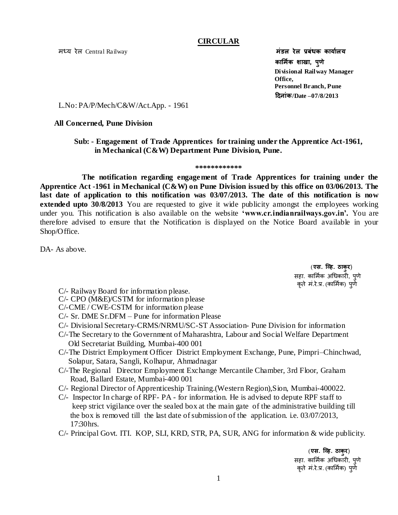मध्य रेल Central Railway **मंडल रेल प्रबंधक कार्यालय** मंडल रेल प्रबंधक कार्यालय

#### **CIRCULAR**

 **कार्माक शाखा, पुणे Divisional Railway Manager**   *Office,*  $\blacksquare$  **Personnel Branch, Pune दिनांक/Date –07/8/2013**

L.No: PA/P/Mech/C&W/Act.App. - 1961

#### **All Concerned, Pune Division**

#### **Sub: - Engagement of Trade Apprentices for training under the Apprentice Act-1961, in Mechanical (C&W) Department Pune Division, Pune.**

#### **\*\*\*\*\*\*\*\*\*\*\*\***

 **The notification regarding engagement of Trade Apprentices for training under the Apprentice Act -1961 in Mechanical (C&W) on Pune Division issued by this office on 03/06/2013. The last date of application to this notification was 03/07/2013. The date of this notification is now extended upto 30/8/2013** You are requested to give it wide publicity amongst the employees working under you. This notification is also available on the website **'www.cr.indianrailways.gov.in'.** You are therefore advised to ensure that the Notification is displayed on the Notice Board available in your Shop/Office.

DA- As above.

 (**एस. व्हि. ठाकुर**) सहा. कार्मिक अधिकारी, पुणे कृते मं.रे.प्र. (कार्मिक) पूर्णे

- C/- Railway Board for information please.
- C/- CPO (M&E)/CSTM for information please
- C/-CME / CWE-CSTM for information please
- C/- Sr. DME Sr.DFM Pune for information Please
- C/- Divisional Secretary-CRMS/NRMU/SC-ST Association- Pune Division for information
- C/-The Secretary to the Government of Maharashtra, Labour and Social Welfare Department Old Secretariat Building, Mumbai-400 001
- C/-The District Employment Officer District Employment Exchange, Pune, Pimpri–Chinchwad, Solapur, Satara, Sangli, Kolhapur, Ahmadnagar
- C/-The Regional Director Employment Exchange Mercantile Chamber, 3rd Floor, Graham Road, Ballard Estate, Mumbai-400 001
- C/- Regional Director of Apprenticeship Training.(Western Region),Sion, Mumbai-400022.
- C/- Inspector In charge of RPF- PA for information. He is advised to depute RPF staff to keep strict vigilance over the sealed box at the main gate of the administrative building till the box is removed till the last date of submission of the application. i.e.  $03/07/2013$ , 17:30hrs.
- C/- Principal Govt. ITI. KOP, SLI, KRD, STR, PA, SUR, ANG for information & wide publicity.

 (**एस. व्हि. ठाकुर**) सहा. कार्मिक अधिकारी, पुणे कृते मं.रे.प्र. (कार्मिक) पूर्णे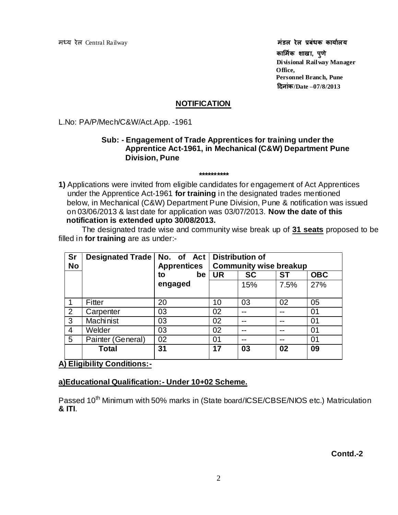मध्य रेल Central Railway **मंडल रेल प्रबंधक कार्यालय कार्माक शाखा, पुणे Divisional Railway Manager**  *Office,* **Office, Personnel Branch, Pune दिनांक/Date –07/8/2013**

#### **NOTIFICATION**

L.No: PA/P/Mech/C&W/Act.App. -1961

#### **Sub: - Engagement of Trade Apprentices for training under the Apprentice Act-1961, in Mechanical (C&W) Department Pune Division, Pune**

**1)** Applications were invited from eligible candidates for engagement of Act Apprentices under the Apprentice Act-1961 **for training** in the designated trades mentioned below, in Mechanical (C&W) Department Pune Division, Pune & notification was issued on 03/06/2013 & last date for application was 03/07/2013. **Now the date of this notification is extended upto 30/08/2013.** 

**\*\*\*\*\*\*\*\*\*\***

The designated trade wise and community wise break up of **31 seats** proposed to be filled in **for training** are as under:-

| <b>Sr</b><br><b>No</b> | Designated Trade   No. of Act   Distribution of | <b>Apprentices</b> | <b>Community wise breakup</b> |           |           |            |
|------------------------|-------------------------------------------------|--------------------|-------------------------------|-----------|-----------|------------|
|                        |                                                 | be<br>to           | <b>UR</b>                     | <b>SC</b> | <b>ST</b> | <b>OBC</b> |
|                        |                                                 | engaged            |                               | 15%       | 7.5%      | 27%        |
|                        | Fitter                                          | 20                 | 10                            | 03        | 02        | 05         |
| 2                      | Carpenter                                       | 03                 | 02                            | --        |           | 01         |
| 3                      | Machinist                                       | 03                 | 02                            | --        |           | 01         |
| 4                      | Welder                                          | 03                 | 02                            | --        | --        | 01         |
| 5                      | Painter (General)                               | 02                 | 01                            | --        | --        | 01         |
|                        | Total                                           | 31                 | 17                            | 03        | 02        | 09         |

**A) Eligibility Conditions:-**

#### **a)Educational Qualification:- Under 10+02 Scheme.**

Passed 10<sup>th</sup> Minimum with 50% marks in (State board/ICSE/CBSE/NIOS etc.) Matriculation **& ITI**.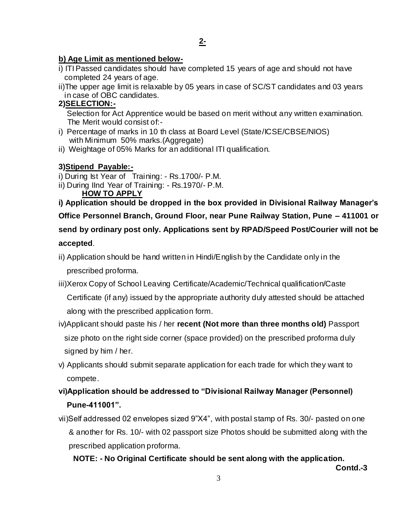## **b) Age Limit as mentioned below-**

- i) ITI Passed candidates should have completed 15 years of age and should not have completed 24 years of age.
- ii)The upper age limit is relaxable by 05 years in case of SC/ST candidates and 03 years in case of OBC candidates.

# **2)SELECTION:-**

 Selection for Act Apprentice would be based on merit without any written examination. The Merit would consist of:-

- i) Percentage of marks in 10 th class at Board Level (State/ICSE/CBSE/NIOS) with Minimum 50% marks.(Aggregate)
- ii) Weightage of 05% Marks for an additional ITI qualification.

# **3)Stipend Payable:-**

i) During Ist Year of Training: - Rs.1700/- P.M.

ii) During IInd Year of Training: - Rs.1970/- P.M.

**HOW TO APPLY**

**i) Application should be dropped in the box provided in Divisional Railway Manager's Office Personnel Branch, Ground Floor, near Pune Railway Station, Pune – 411001 or send by ordinary post only. Applications sent by RPAD/Speed Post/Courier will not be accepted**.

ii) Application should be hand written in Hindi/English by the Candidate only in the

prescribed proforma.

iii)Xerox Copy of School Leaving Certificate/Academic/Technical qualification/Caste

 Certificate (if any) issued by the appropriate authority duly attested should be attached along with the prescribed application form.

- iv)Applicant should paste his / her **recent (Not more than three months old)** Passport size photo on the right side corner (space provided) on the prescribed proforma duly signed by him / her.
- v) Applicants should submit separate application for each trade for which they want to compete.
- **vi)Application should be addressed to "Divisional Railway Manager (Personnel) Pune-411001".**

vii)Self addressed 02 envelopes sized 9"X4", with postal stamp of Rs. 30/- pasted on one & another for Rs. 10/- with 02 passport size Photos should be submitted along with the prescribed application proforma.

 **NOTE: - No Original Certificate should be sent along with the application.** 

 **Contd.-3**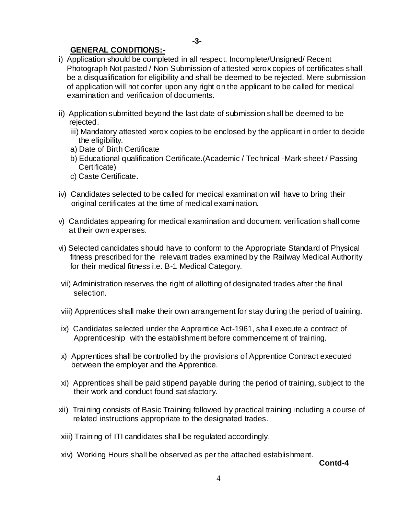### **GENERAL CONDITIONS:-**

- i) Application should be completed in all respect. Incomplete/Unsigned/ Recent Photograph Not pasted / Non-Submission of attested xerox copies of certificates shall be a disqualification for eligibility and shall be deemed to be rejected. Mere submission of application will not confer upon any right on the applicant to be called for medical examination and verification of documents.
- ii) Application submitted beyond the last date of submission shall be deemed to be rejected.
	- iii) Mandatory attested xerox copies to be enclosed by the applicant in order to decide the eligibility.
	- a) Date of Birth Certificate
	- b) Educational qualification Certificate.(Academic / Technical -Mark-sheet / Passing Certificate)
	- c) Caste Certificate.
- iv) Candidates selected to be called for medical examination will have to bring their original certificates at the time of medical examination.
- v) Candidates appearing for medical examination and document verification shall come at their own expenses.
- vi) Selected candidates should have to conform to the Appropriate Standard of Physical fitness prescribed for the relevant trades examined by the Railway Medical Authority for their medical fitness i.e. B-1 Medical Category.
- vii) Administration reserves the right of allotting of designated trades after the final selection.
- viii) Apprentices shall make their own arrangement for stay during the period of training.
- ix) Candidates selected under the Apprentice Act-1961, shall execute a contract of Apprenticeship with the establishment before commencement of training.
- x) Apprentices shall be controlled by the provisions of Apprentice Contract executed between the employer and the Apprentice.
- xi) Apprentices shall be paid stipend payable during the period of training, subject to the their work and conduct found satisfactory.
- xii) Training consists of Basic Training followed by practical training including a course of related instructions appropriate to the designated trades.
- xiii) Training of ITI candidates shall be regulated accordingly.
- xiv) Working Hours shall be observed as per the attached establishment.

**Contd-4**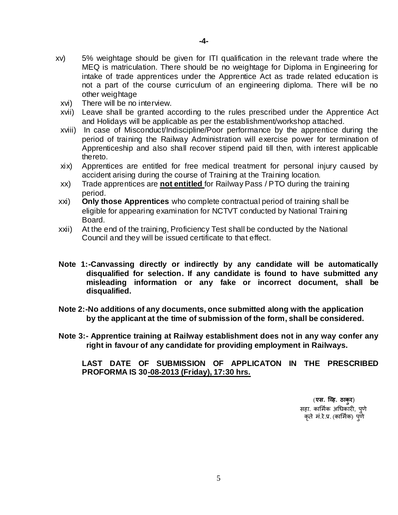- xv) 5% weightage should be given for ITI qualification in the relevant trade where the MEQ is matriculation. There should be no weightage for Diploma in Engineering for intake of trade apprentices under the Apprentice Act as trade related education is not a part of the course curriculum of an engineering diploma. There will be no other weightage
	- xvi) There will be no interview.
	- xvii) Leave shall be granted according to the rules prescribed under the Apprentice Act and Holidays will be applicable as per the establishment/workshop attached.
	- xviii) In case of Misconduct/Indiscipline/Poor performance by the apprentice during the period of training the Railway Administration will exercise power for termination of Apprenticeship and also shall recover stipend paid till then, with interest applicable thereto.
	- xix) Apprentices are entitled for free medical treatment for personal injury caused by accident arising during the course of Training at the Training location.
	- xx) Trade apprentices are **not entitled** for Railway Pass / PTO during the training period.
- xxi) **Only those Apprentices** who complete contractual period of training shall be eligible for appearing examination for NCTVT conducted by National Training Board.
- xxii) At the end of the training, Proficiency Test shall be conducted by the National Council and they will be issued certificate to that effect.
- **Note 1:-Canvassing directly or indirectly by any candidate will be automatically disqualified for selection. If any candidate is found to have submitted any misleading information or any fake or incorrect document, shall be disqualified.**
- **Note 2:-No additions of any documents, once submitted along with the application by the applicant at the time of submission of the form, shall be considered.**
- **Note 3:- Apprentice training at Railway establishment does not in any way confer any right in favour of any candidate for providing employment in Railways.**

**LAST DATE OF SUBMISSION OF APPLICATON IN THE PRESCRIBED PROFORMA IS 30-08-2013 (Friday), 17:30 hrs.**

> (**एस. व्हि. ठाकुर**) सहा. कार्मिक अधिकारी, पणे कृते मं.रे.प्र. (कार्मिक) पूर्ण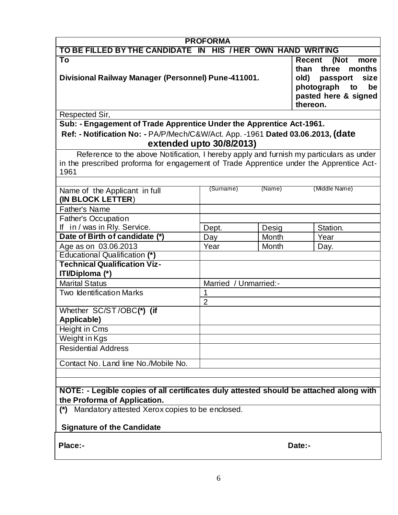| <b>PROFORMA</b>                                                                         |                |                       |                               |  |  |  |  |
|-----------------------------------------------------------------------------------------|----------------|-----------------------|-------------------------------|--|--|--|--|
| TO BE FILLED BY THE CANDIDATE IN HIS / HER OWN HAND WRITING                             |                |                       |                               |  |  |  |  |
| To                                                                                      |                |                       | <b>Recent</b><br>(Not<br>more |  |  |  |  |
|                                                                                         |                |                       | months<br>than<br>three       |  |  |  |  |
| Divisional Railway Manager (Personnel) Pune-411001.                                     |                |                       | old)<br>size<br>passport      |  |  |  |  |
|                                                                                         |                |                       | photograph<br>be<br>to        |  |  |  |  |
|                                                                                         |                |                       | pasted here & signed          |  |  |  |  |
|                                                                                         |                |                       | thereon.                      |  |  |  |  |
| Respected Sir,                                                                          |                |                       |                               |  |  |  |  |
| Sub: - Engagement of Trade Apprentice Under the Apprentice Act-1961.                    |                |                       |                               |  |  |  |  |
| Ref: - Notification No: - PA/P/Mech/C&W/Act. App. -1961 Dated 03.06.2013, (date         |                |                       |                               |  |  |  |  |
| extended upto 30/8/2013)                                                                |                |                       |                               |  |  |  |  |
| Reference to the above Notification, I hereby apply and furnish my particulars as under |                |                       |                               |  |  |  |  |
| in the prescribed proforma for engagement of Trade Apprentice under the Apprentice Act- |                |                       |                               |  |  |  |  |
| 1961                                                                                    |                |                       |                               |  |  |  |  |
|                                                                                         |                |                       |                               |  |  |  |  |
| Name of the Applicant in full                                                           | (Surname)      | (Name)                | (Middle Name)                 |  |  |  |  |
| (IN BLOCK LETTER)                                                                       |                |                       |                               |  |  |  |  |
| <b>Father's Name</b>                                                                    |                |                       |                               |  |  |  |  |
| <b>Father's Occupation</b>                                                              |                |                       |                               |  |  |  |  |
| If in / was in Rly. Service.                                                            | Dept.          | Desig                 | Station.                      |  |  |  |  |
| Date of Birth of candidate (*)                                                          | Day            | Month                 | Year                          |  |  |  |  |
| Age as on 03.06.2013                                                                    | Year           | Month                 | Day.                          |  |  |  |  |
| <b>Educational Qualification (*)</b>                                                    |                |                       |                               |  |  |  |  |
| <b>Technical Qualification Viz-</b>                                                     |                |                       |                               |  |  |  |  |
| ITI/Diploma (*)                                                                         |                |                       |                               |  |  |  |  |
| <b>Marital Status</b>                                                                   |                | Married / Unmarried:- |                               |  |  |  |  |
| <b>Two Identification Marks</b>                                                         | 1              |                       |                               |  |  |  |  |
|                                                                                         | $\overline{2}$ |                       |                               |  |  |  |  |
| Whether SC/ST/OBC(*) (if                                                                |                |                       |                               |  |  |  |  |
| Applicable)                                                                             |                |                       |                               |  |  |  |  |
| Height in Cms                                                                           |                |                       |                               |  |  |  |  |
| Weight in Kgs                                                                           |                |                       |                               |  |  |  |  |
| <b>Residential Address</b>                                                              |                |                       |                               |  |  |  |  |
| Contact No. Land line No./Mobile No.                                                    |                |                       |                               |  |  |  |  |
|                                                                                         |                |                       |                               |  |  |  |  |
|                                                                                         |                |                       |                               |  |  |  |  |
| NOTE: - Legible copies of all certificates duly attested should be attached along with  |                |                       |                               |  |  |  |  |
| the Proforma of Application.                                                            |                |                       |                               |  |  |  |  |
| Mandatory attested Xerox copies to be enclosed.<br>$(*)$                                |                |                       |                               |  |  |  |  |
|                                                                                         |                |                       |                               |  |  |  |  |

# **Signature of the Candidate**

**Place:- Date:-**